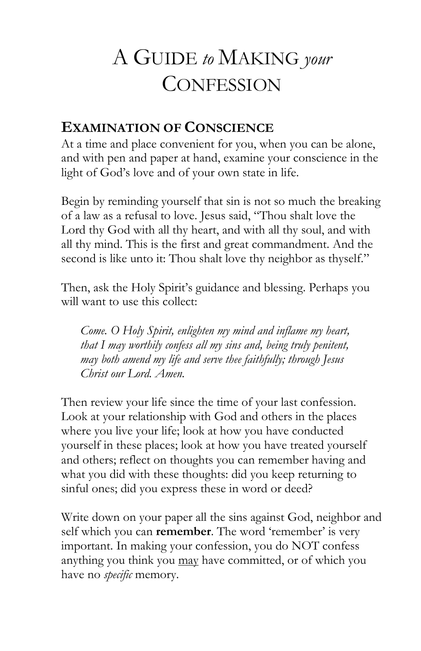# A GUIDE *to* MAKING *your* **CONFESSION**

## **EXAMINATION OF CONSCIENCE**

At a time and place convenient for you, when you can be alone, and with pen and paper at hand, examine your conscience in the light of God"s love and of your own state in life.

Begin by reminding yourself that sin is not so much the breaking of a law as a refusal to love. Jesus said, "Thou shalt love the Lord thy God with all thy heart, and with all thy soul, and with all thy mind. This is the first and great commandment. And the second is like unto it: Thou shalt love thy neighbor as thyself."

Then, ask the Holy Spirit's guidance and blessing. Perhaps you will want to use this collect:

*Come. O Holy Spirit, enlighten my mind and inflame my heart, that I may worthily confess all my sins and, being truly penitent, may both amend my life and serve thee faithfully; through Jesus Christ our Lord. Amen.*

Then review your life since the time of your last confession. Look at your relationship with God and others in the places where you live your life; look at how you have conducted yourself in these places; look at how you have treated yourself and others; reflect on thoughts you can remember having and what you did with these thoughts: did you keep returning to sinful ones; did you express these in word or deed?

Write down on your paper all the sins against God, neighbor and self which you can **remember**. The word 'remember' is very important. In making your confession, you do NOT confess anything you think you may have committed, or of which you have no *specific* memory.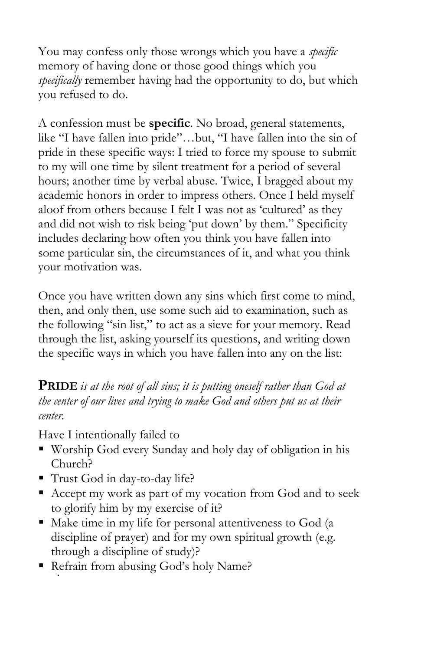You may confess only those wrongs which you have a *specific*  memory of having done or those good things which you *specifically* remember having had the opportunity to do, but which you refused to do.

A confession must be **specific**. No broad, general statements, like "I have fallen into pride"…but, "I have fallen into the sin of pride in these specific ways: I tried to force my spouse to submit to my will one time by silent treatment for a period of several hours; another time by verbal abuse. Twice, I bragged about my academic honors in order to impress others. Once I held myself aloof from others because I felt I was not as 'cultured' as they and did not wish to risk being "put down" by them." Specificity includes declaring how often you think you have fallen into some particular sin, the circumstances of it, and what you think your motivation was.

Once you have written down any sins which first come to mind, then, and only then, use some such aid to examination, such as the following "sin list," to act as a sieve for your memory. Read through the list, asking yourself its questions, and writing down the specific ways in which you have fallen into any on the list:

**PRIDE** *is at the root of all sins; it is putting oneself rather than God at the center of our lives and trying to make God and others put us at their center.*

Have I intentionally failed to

- Worship God every Sunday and holy day of obligation in his Church?
- Trust God in day-to-day life?
- Accept my work as part of my vocation from God and to seek to glorify him by my exercise of it?
- $\blacksquare$  Make time in my life for personal attentiveness to God (a discipline of prayer) and for my own spiritual growth (e.g. through a discipline of study)?
- Refrain from abusing God's holy Name? ,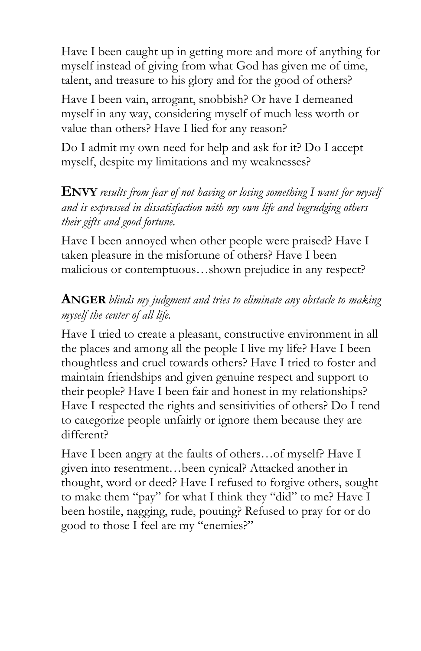Have I been caught up in getting more and more of anything for myself instead of giving from what God has given me of time, talent, and treasure to his glory and for the good of others?

Have I been vain, arrogant, snobbish? Or have I demeaned myself in any way, considering myself of much less worth or value than others? Have I lied for any reason?

Do I admit my own need for help and ask for it? Do I accept myself, despite my limitations and my weaknesses?

**ENVY** *results from fear of not having or losing something I want for myself and is expressed in dissatisfaction with my own life and begrudging others their gifts and good fortune.*

Have I been annoyed when other people were praised? Have I taken pleasure in the misfortune of others? Have I been malicious or contemptuous…shown prejudice in any respect?

### **ANGER** *blinds my judgment and tries to eliminate any obstacle to making myself the center of all life.*

Have I tried to create a pleasant, constructive environment in all the places and among all the people I live my life? Have I been thoughtless and cruel towards others? Have I tried to foster and maintain friendships and given genuine respect and support to their people? Have I been fair and honest in my relationships? Have I respected the rights and sensitivities of others? Do I tend to categorize people unfairly or ignore them because they are different?

Have I been angry at the faults of others…of myself? Have I given into resentment…been cynical? Attacked another in thought, word or deed? Have I refused to forgive others, sought to make them "pay" for what I think they "did" to me? Have I been hostile, nagging, rude, pouting? Refused to pray for or do good to those I feel are my "enemies?"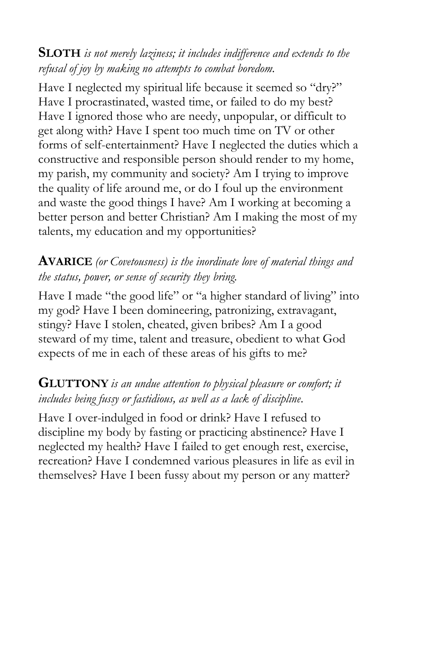**SLOTH** *is not merely laziness; it includes indifference and extends to the refusal of joy by making no attempts to combat boredom.*

Have I neglected my spiritual life because it seemed so "dry?" Have I procrastinated, wasted time, or failed to do my best? Have I ignored those who are needy, unpopular, or difficult to get along with? Have I spent too much time on TV or other forms of self-entertainment? Have I neglected the duties which a constructive and responsible person should render to my home, my parish, my community and society? Am I trying to improve the quality of life around me, or do I foul up the environment and waste the good things I have? Am I working at becoming a better person and better Christian? Am I making the most of my talents, my education and my opportunities?

### **AVARICE** *(or Covetousness) is the inordinate love of material things and the status, power, or sense of security they bring.*

Have I made "the good life" or "a higher standard of living" into my god? Have I been domineering, patronizing, extravagant, stingy? Have I stolen, cheated, given bribes? Am I a good steward of my time, talent and treasure, obedient to what God expects of me in each of these areas of his gifts to me?

### **GLUTTONY** *is an undue attention to physical pleasure or comfort; it includes being fussy or fastidious, as well as a lack of discipline.*

Have I over-indulged in food or drink? Have I refused to discipline my body by fasting or practicing abstinence? Have I neglected my health? Have I failed to get enough rest, exercise, recreation? Have I condemned various pleasures in life as evil in themselves? Have I been fussy about my person or any matter?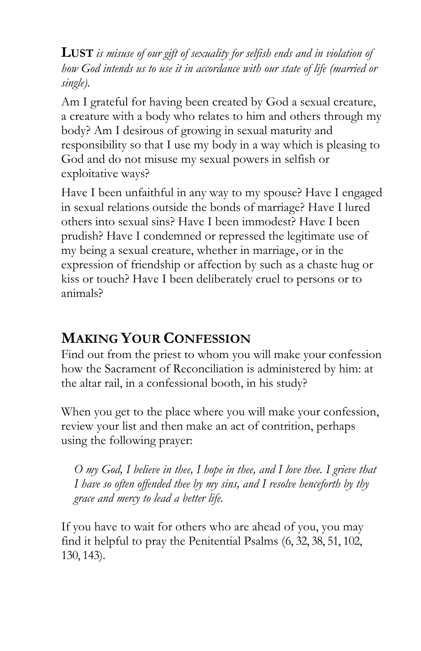**LUST** *is misuse of our gift of sexuality for selfish ends and in violation of how God intends us to use it in accordance with our state of life (married or single).*

Am I grateful for having been created by God a sexual creature, a creature with a body who relates to him and others through my body? Am I desirous of growing in sexual maturity and responsibility so that I use my body in a way which is pleasing to God and do not misuse my sexual powers in selfish or exploitative ways?

Have I been unfaithful in any way to my spouse? Have I engaged in sexual relations outside the bonds of marriage? Have I lured others into sexual sins? Have I been immodest? Have I been prudish? Have I condemned or repressed the legitimate use of my being a sexual creature, whether in marriage, or in the expression of friendship or affection by such as a chaste hug or kiss or touch? Have I been deliberately cruel to persons or to animals?

# **MAKING YOUR CONFESSION**

Find out from the priest to whom you will make your confession how the Sacrament of Reconciliation is administered by him: at the altar rail, in a confessional booth, in his study?

When you get to the place where you will make your confession, review your list and then make an act of contrition, perhaps using the following prayer:

*O my God, I believe in thee, I hope in thee, and I love thee. I grieve that I have so often offended thee by my sins, and I resolve henceforth by thy grace and mercy to lead a better life.*

If you have to wait for others who are ahead of you, you may find it helpful to pray the Penitential Psalms (6, 32, 38, 51, 102, 130, 143).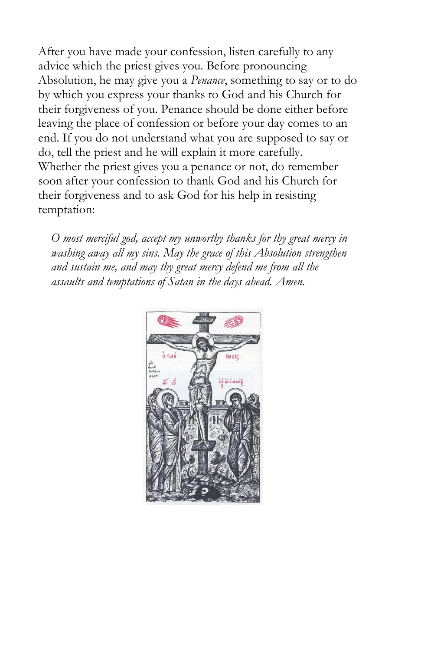After you have made your confession, listen carefully to any advice which the priest gives you. Before pronouncing Absolution, he may give you a *Penance*, something to say or to do by which you express your thanks to God and his Church for their forgiveness of you. Penance should be done either before leaving the place of confession or before your day comes to an end. If you do not understand what you are supposed to say or do, tell the priest and he will explain it more carefully. Whether the priest gives you a penance or not, do remember soon after your confession to thank God and his Church for their forgiveness and to ask God for his help in resisting temptation:

*O most merciful god, accept my unworthy thanks for thy great mercy in washing away all my sins. May the grace of this Absolution strengthen and sustain me, and may thy great mercy defend me from all the assaults and temptations of Satan in the days ahead. Amen.*

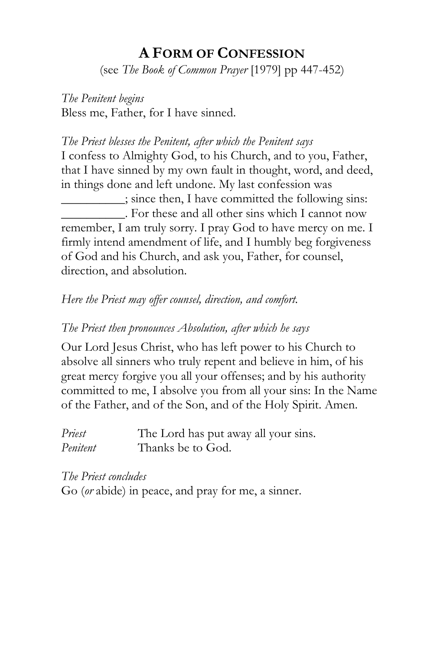# **A FORM OF CONFESSION**

(see *The Book of Common Prayer* [1979] pp 447-452)

*The Penitent begins* Bless me, Father, for I have sinned.

#### *The Priest blesses the Penitent, after which the Penitent says*

I confess to Almighty God, to his Church, and to you, Father, that I have sinned by my own fault in thought, word, and deed, in things done and left undone. My last confession was

\_\_\_\_\_\_\_\_\_\_; since then, I have committed the following sins: \_\_\_\_\_\_\_\_\_\_. For these and all other sins which I cannot now remember, I am truly sorry. I pray God to have mercy on me. I firmly intend amendment of life, and I humbly beg forgiveness of God and his Church, and ask you, Father, for counsel, direction, and absolution.

#### *Here the Priest may offer counsel, direction, and comfort.*

#### *The Priest then pronounces Absolution, after which he says*

Our Lord Jesus Christ, who has left power to his Church to absolve all sinners who truly repent and believe in him, of his great mercy forgive you all your offenses; and by his authority committed to me, I absolve you from all your sins: In the Name of the Father, and of the Son, and of the Holy Spirit. Amen.

| Priest   | The Lord has put away all your sins. |
|----------|--------------------------------------|
| Penitent | Thanks be to God.                    |

*The Priest concludes* Go (*or* abide) in peace, and pray for me, a sinner.